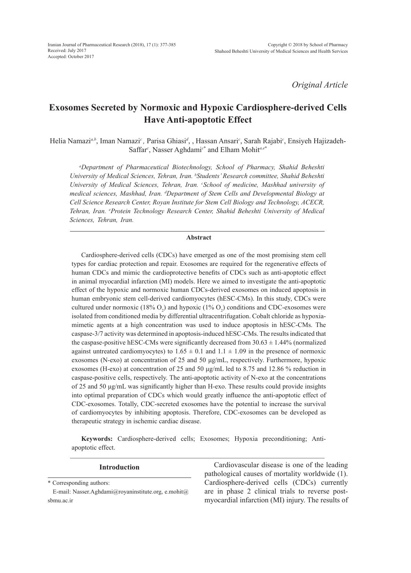*Original Article*

# **Exosomes Secreted by Normoxic and Hypoxic Cardiosphere-derived Cells Have Anti-apoptotic Effect**

Helia Namazi*a,b*, Iman Namazi*c ,* Parisa Ghiasi*<sup>d</sup>* , , Hassan Ansari*<sup>c</sup>* , Sarah Rajabi*<sup>c</sup>* , Ensiyeh Hajizadeh-Saffar*<sup>c</sup>* , Nasser Aghdami*<sup>c</sup>*\* and Elham Mohit*a,e*\*

*a Department of Pharmaceutical Biotechnology, School of Pharmacy, Shahid Beheshti University of Medical Sciences, Tehran, Iran. b Students' Research committee, Shahid Beheshti University of Medical Sciences, Tehran, Iran. c School of medicine, Mashhad university of medical sciences, Mashhad, Iran. d Department of Stem Cells and Developmental Biology at Cell Science Research Center, Royan Institute for Stem Cell Biology and Technology, ACECR, Tehran, Iran. e Protein Technology Research Center, Shahid Beheshti University of Medical Sciences, Tehran, Iran.*

# **Abstract**

Cardiosphere-derived cells (CDCs) have emerged as one of the most promising stem cell types for cardiac protection and repair. Exosomes are required for the regenerative effects of human CDCs and mimic the cardioprotective benefits of CDCs such as anti-apoptotic effect in animal myocardial infarction (MI) models. Here we aimed to investigate the anti-apoptotic effect of the hypoxic and normoxic human CDCs-derived exosomes on induced apoptosis in human embryonic stem cell-derived cardiomyocytes (hESC-CMs). In this study, CDCs were cultured under normoxic (18%  $O_2$ ) and hypoxic (1%  $O_2$ ) conditions and CDC-exosomes were isolated from conditioned media by differential ultracentrifugation. Cobalt chloride as hypoxiamimetic agents at a high concentration was used to induce apoptosis in hESC-CMs. The caspase-3/7 activity was determined in apoptosis-induced hESC-CMs. The results indicated that the caspase-positive hESC-CMs were significantly decreased from  $30.63 \pm 1.44\%$  (normalized against untreated cardiomyocytes) to  $1.65 \pm 0.1$  and  $1.1 \pm 1.09$  in the presence of normoxic exosomes (N-exo) at concentration of 25 and 50 μg/mL, respectively. Furthermore, hypoxic exosomes (H-exo) at concentration of 25 and 50 μg/mL led to 8.75 and 12.86 % reduction in caspase-positive cells, respectively. The anti-apoptotic activity of N-exo at the concentrations of 25 and 50 μg/mL was significantly higher than H-exo. These results could provide insights into optimal preparation of CDCs which would greatly influence the anti-apoptotic effect of CDC-exosomes. Totally, CDC-secreted exosomes have the potential to increase the survival of cardiomyocytes by inhibiting apoptosis. Therefore, CDC-exosomes can be developed as therapeutic strategy in ischemic cardiac disease.

**Keywords:** Cardiosphere-derived cells; Exosomes; Hypoxia preconditioning; Antiapoptotic effect.

\* Corresponding authors: E-mail: Nasser.Aghdami@royaninstitute.org, e.mohit@ sbmu.ac.ir **Introduction** Cardiovascular disease is one of the leading pathological causes of mortality worldwide (1). Cardiosphere-derived cells (CDCs) currently are in phase 2 clinical trials to reverse postmyocardial infarction (MI) injury. The results of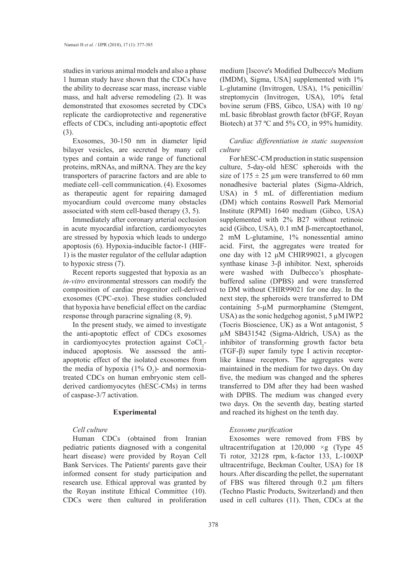studies in various animal models and also a phase 1 human study have shown that the CDCs have the ability to decrease scar mass, increase viable mass, and halt adverse remodeling (2). It was demonstrated that exosomes secreted by CDCs replicate the cardioprotective and regenerative effects of CDCs, including anti-apoptotic effect (3).

Exosomes, 30-150 nm in diameter lipid bilayer vesicles, are secreted by many cell types and contain a wide range of functional proteins, mRNAs, and miRNA. They are the key transporters of paracrine factors and are able to mediate cell–cell communication. (4). Exosomes as therapeutic agent for repairing damaged myocardium could overcome many obstacles associated with stem cell-based therapy (3, 5).

Immediately after coronary arterial occlusion in acute myocardial infarction, cardiomyocytes are stressed by hypoxia which leads to undergo apoptosis (6). Hypoxia-inducible factor-1 (HIF-1) is the master regulator of the cellular adaption to hypoxic stress (7).

Recent reports suggested that hypoxia as an *in-vitro* environmental stressors can modify the composition of cardiac progenitor cell-derived exosomes (CPC-exo). These studies concluded that hypoxia have beneficial effect on the cardiac response through paracrine signaling (8, 9).

In the present study, we aimed to investigate the anti-apoptotic effect of CDCs exosomes in cardiomyocytes protection against  $CoCl<sub>2</sub>$ induced apoptosis. We assessed the antiapoptotic effect of the isolated exosomes from the media of hypoxia  $(1\% \text{ O}_2)$ - and normoxiatreated CDCs on human embryonic stem cellderived cardiomyocytes (hESC-CMs) in terms of caspase-3/7 activation.

## **Experimental**

# *Cell culture*

Human CDCs (obtained from Iranian pediatric patients diagnosed with a congenital heart disease) were provided by Royan Cell Bank Services. The Patients' parents gave their informed consent for study participation and research use. Ethical approval was granted by the Royan institute Ethical Committee (10). CDCs were then cultured in proliferation medium [Iscove's Modified Dulbecco's Medium (IMDM), Sigma, USA] supplemented with 1% L-glutamine (Invitrogen, USA), 1% penicillin/ streptomycin (Invitrogen, USA), 10% fetal bovine serum (FBS, Gibco, USA) with 10 ng/ mL basic fibroblast growth factor (bFGF, Royan Biotech) at 37 °C and 5%  $CO_2$  in 95% humidity.

# *Cardiac differentiation in static suspension culture*

For hESC-CM production in static suspension culture, 5-day-old hESC spheroids with the size of  $175 \pm 25$  µm were transferred to 60 mm nonadhesive bacterial plates (Sigma-Aldrich, USA) in 5 mL of differentiation medium (DM) which contains Roswell Park Memorial Institute (RPMI) 1640 medium (Gibco, USA) supplemented with 2% B27 without retinoic acid (Gibco, USA), 0.1 mM β-mercaptoethanol, 2 mM L-glutamine, 1% nonessential amino acid. First, the aggregates were treated for one day with 12 μM CHIR99021, a glycogen synthase kinase 3-β inhibitor. Next, spheroids were washed with Dulbecco's phosphatebuffered saline (DPBS) and were transferred to DM without CHIR99021 for one day. In the next step, the spheroids were transferred to DM containing 5-µM purmorphamine (Stemgent, USA) as the sonic hedgehog agonist,  $5 \mu M IWP2$ (Tocris Bioscience, UK) as a Wnt antagonist, 5 µM SB431542 (Sigma-Aldrich, USA) as the inhibitor of transforming growth factor beta (TGF-β) super family type I activin receptorlike kinase receptors. The aggregates were maintained in the medium for two days. On day five, the medium was changed and the spheres transferred to DM after they had been washed with DPBS. The medium was changed every two days. On the seventh day, beating started and reached its highest on the tenth day.

## *Exosome purification*

Exosomes were removed from FBS by ultracentrifugation at 120,000 ×g (Type 45 Ti rotor, 32128 rpm, k-factor 133, L-100XP ultracentrifuge, Beckman Coulter, USA) for 18 hours. After discarding the pellet, the supernatant of FBS was filtered through 0.2 µm filters (Techno Plastic Products, Switzerland) and then used in cell cultures (11). Then, CDCs at the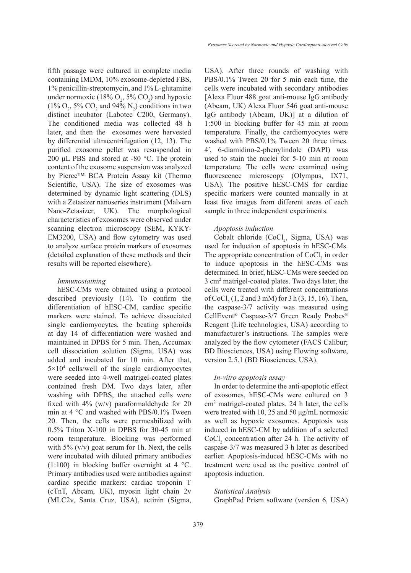fifth passage were cultured in complete media containing IMDM, 10% exosome-depleted FBS, 1% penicillin-streptomycin, and 1% L-glutamine under normoxic (18%  $O_2$ , 5%  $CO_2$ ) and hypoxic  $(1\% \text{ O}_2, 5\% \text{ CO}_2 \text{ and } 94\% \text{ N}_2)$  conditions in two distinct incubator (Labotec C200, Germany). The conditioned media was collected 48 h later, and then the exosomes were harvested by differential ultracentrifugation (12, 13). The purified exosome pellet was resuspended in 200 μL PBS and stored at -80  $^{\circ}$ C. The protein content of the exosome suspension was analyzed by Pierce™ BCA Protein Assay kit (Thermo Scientific, USA). The size of exosomes was determined by dynamic light scattering (DLS) with a Zetasizer nanoseries instrument (Malvern Nano-Zetasizer, UK). The morphological characteristics of exosomes were observed under scanning electron microscopy (SEM, KYKY-EM3200, USA) and flow cytometry was used to analyze surface protein markers of exosomes (detailed explanation of these methods and their results will be reported elsewhere).

# *Immunostaining*

hESC-CMs were obtained using a protocol described previously (14). To confirm the differentiation of hESC-CM, cardiac specific markers were stained. To achieve dissociated single cardiomyocytes, the beating spheroids at day 14 of differentiation were washed and maintained in DPBS for 5 min. Then, Accumax cell dissociation solution (Sigma, USA) was added and incubated for 10 min. After that,  $5 \times 10^4$  cells/well of the single cardiomyocytes were seeded into 4-well matrigel-coated plates contained fresh DM. Two days later, after washing with DPBS, the attached cells were fixed with 4% (w/v) paraformaldehyde for 20 min at 4 °C and washed with PBS/0.1% Tween 20. Then, the cells were permeabilized with 0.5% Triton X-100 in DPBS for 30-45 min at room temperature. Blocking was performed with  $5\%$  (v/v) goat serum for 1h. Next, the cells were incubated with diluted primary antibodies  $(1:100)$  in blocking buffer overnight at 4 °C. Primary antibodies used were antibodies against cardiac specific markers: cardiac troponin T (cTnT, Abcam, UK), myosin light chain 2v (MLC2v, Santa Cruz, USA), actinin (Sigma,

USA). After three rounds of washing with PBS/0.1% Tween 20 for 5 min each time, the cells were incubated with secondary antibodies [Alexa Fluor 488 goat anti-mouse IgG antibody (Abcam, UK) Alexa Fluor 546 goat anti-mouse IgG antibody (Abcam, UK)] at a dilution of 1:500 in blocking buffer for 45 min at room temperature. Finally, the cardiomyocytes were washed with PBS/0.1% Tween 20 three times. 4ʹ, 6-diamidino-2-phenylindole (DAPI) was used to stain the nuclei for 5-10 min at room temperature. The cells were examined using fluorescence microscopy (Olympus, IX71, USA). The positive hESC-CMS for cardiac specific markers were counted manually in at least five images from different areas of each sample in three independent experiments.

#### *Apoptosis induction*

Cobalt chloride  $(CoCl<sub>2</sub>,$  Sigma, USA) was used for induction of apoptosis in hESC-CMs. The appropriate concentration of  $CoCl<sub>2</sub>$  in order to induce apoptosis in the hESC-CMs was determined. In brief, hESC-CMs were seeded on 3 cm2 matrigel-coated plates. Two days later, the cells were treated with different concentrations of CoCl<sub>2</sub> (1, 2 and 3 mM) for 3 h (3, 15, 16). Then, the caspase-3/7 activity was measured using CellEvent® Caspase-3/7 Green Ready Probes® Reagent (Life technologies, USA) according to manufacturer's instructions. The samples were analyzed by the flow cytometer (FACS Calibur; BD Biosciences, USA) using Flowing software, version 2.5.1 (BD Biosciences, USA).

#### *In-vitro apoptosis assay*

In order to determine the anti-apoptotic effect of exosomes, hESC-CMs were cultured on 3 cm2 matrigel-coated plates. 24 h later, the cells were treated with 10, 25 and 50 μg/mL normoxic as well as hypoxic exosomes. Apoptosis was induced in hESC-CM by addition of a selected  $CoCl<sub>2</sub>$  concentration after 24 h. The activity of caspase-3/7 was measured 3 h later as described earlier. Apoptosis-induced hESC-CMs with no treatment were used as the positive control of apoptosis induction.

#### *Statistical Analysis*

GraphPad Prism software (version 6, USA)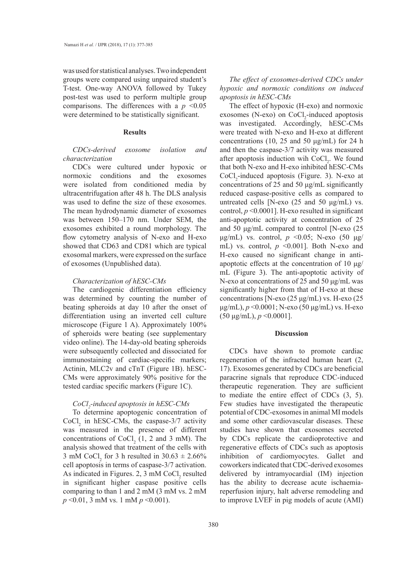was used for statistical analyses. Two independent groups were compared using unpaired student's T-test. One-way ANOVA followed by Tukey post-test was used to perform multiple group comparisons. The differences with a  $p \leq 0.05$ were determined to be statistically significant.

#### **Results**

# *CDCs-derived exosome isolation and characterization*

CDCs were cultured under hypoxic or normoxic conditions and the exosomes were isolated from conditioned media by ultracentrifugation after 48 h. The DLS analysis was used to define the size of these exosomes. The mean hydrodynamic diameter of exosomes was between 150–170 nm. Under SEM, the exosomes exhibited a round morphology. The flow cytometry analysis of N-exo and H-exo showed that CD63 and CD81 which are typical exosomal markers, were expressed on the surface of exosomes (Unpublished data).

#### *Characterization of hESC-CMs*

The cardiogenic differentiation efficiency was determined by counting the number of beating spheroids at day 10 after the onset of differentiation using an inverted cell culture microscope (Figure 1 A). Approximately 100% of spheroids were beating (see supplementary video online). The 14-day-old beating spheroids were subsequently collected and dissociated for immunostaining of cardiac-specific markers; Actinin, MLC2v and cTnT (Figure 1B). hESC-CMs were approximately 90% positive for the tested cardiac specific markers (Figure 1C).

# *CoCl2 -induced apoptosis in hESC-CMs*

To determine apoptogenic concentration of  $CoCl<sub>2</sub>$  in hESC-CMs, the caspase-3/7 activity was measured in the presence of different concentrations of  $CoCl<sub>2</sub>$  (1, 2 and 3 mM). The analysis showed that treatment of the cells with 3 mM CoCl<sub>2</sub> for 3 h resulted in  $30.63 \pm 2.66\%$ cell apoptosis in terms of caspase-3/7 activation. As indicated in Figures. 2,  $3 \text{ mM CoCl}_2$  resulted in significant higher caspase positive cells comparing to than 1 and 2 mM (3 mM vs. 2 mM *p* <0.01, 3 mM vs. 1 mM *p* <0.001).

*The effect of exosomes-derived CDCs under hypoxic and normoxic conditions on induced apoptosis in hESC-CMs*

The effect of hypoxic (H-exo) and normoxic exosomes (N-exo) on  $CoCl<sub>2</sub>$ -induced apoptosis was investigated. Accordingly, hESC-CMs were treated with N-exo and H-exo at different concentrations (10, 25 and 50 μg/mL) for 24 h and then the caspase-3/7 activity was measured after apoptosis induction wih  $CoCl<sub>2</sub>$ . We found that both N-exo and H-exo inhibited hESC-CMs  $CoCl<sub>2</sub>$ -induced apoptosis (Figure. 3). N-exo at concentrations of 25 and 50 μg/mL significantly reduced caspase-positive cells as compared to untreated cells [N-exo (25 and 50 μg/mL) vs. control,  $p \le 0.0001$ ]. H-exo resulted in significant anti-apoptotic activity at concentration of 25 and 50 μg/mL compared to control [N-exo (25 μg/mL) vs. control, *p* <0.05; N-exo (50 μg/ mL) vs. control, *p* <0.001]. Both N-exo and H-exo caused no significant change in antiapoptotic effects at the concentration of 10 μg/ mL (Figure 3). The anti-apoptotic activity of N-exo at concentrations of 25 and 50 μg/mL was significantly higher from that of H-exo at these concentrations [N-exo (25 μg/mL) vs. H-exo (25 μg/mL), *p* <0.0001; N-exo (50 μg/mL) vs. H-exo (50 μg/mL), *p* <0.0001].

# **Discussion**

CDCs have shown to promote cardiac regeneration of the infracted human heart (2, 17). Exosomes generated by CDCs are beneficial paracrine signals that reproduce CDC-induced therapeutic regeneration. They are sufficient to mediate the entire effect of CDCs (3, 5). Few studies have investigated the therapeutic potential of CDC-exosomes in animal MI models and some other cardiovascular diseases. These studies have shown that exosomes secreted by CDCs replicate the cardioprotective and regenerative effects of CDCs such as apoptosis inhibition of cardiomyocytes. Gallet and coworkers indicated that CDC-derived exosomes delivered by intramyocardial (IM) injection has the ability to decrease acute ischaemiareperfusion injury, halt adverse remodeling and to improve LVEF in pig models of acute (AMI)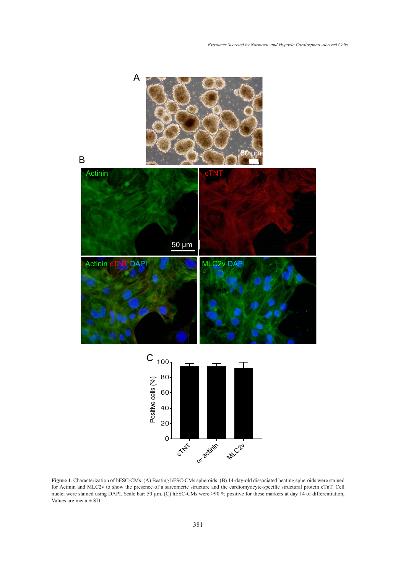

**Figure 1**. Characterization of hESC-CMs. (A) Beating hESC-CMs spheroids. (B) 14-day-old dissociated beating spheroids were stained for Actinin and MLC2v to show the presence of a sarcomeric structure and the cardiomyocyte-specific structural protein cTnT. Cell nuclei were stained using DAPI. Scale bar: 50 µm. (C) hESC-CMs were >90 % positive for these markers at day 14 of differentiation, Values are mean ± SD.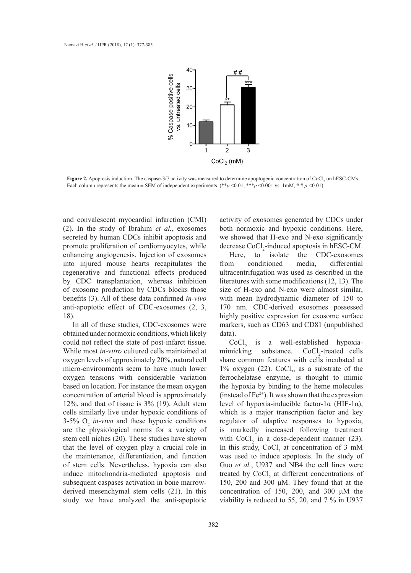

**Figure 2.** Apoptosis induction. The caspase-3/7 activity was measured to determine apoptogenic concentration of CoCl<sub>2</sub> on hESC-CMs. Each column represents the mean  $\pm$  SEM of independent experiments. (\*\**p* <0.01, \*\*\**p* <0.001 vs. 1mM, # # *p* <0.01).

and convalescent myocardial infarction (CMI) (2). In the study of Ibrahim *et al.*, exosomes secreted by human CDCs inhibit apoptosis and promote proliferation of cardiomyocytes, while enhancing angiogenesis. Injection of exosomes into injured mouse hearts recapitulates the regenerative and functional effects produced by CDC transplantation, whereas inhibition of exosome production by CDCs blocks those benefits (3). All of these data confirmed *in-vivo* anti-apoptotic effect of CDC-exosomes (2, 3, 18).

In all of these studies, CDC-exosomes were obtained under normoxic conditions, which likely could not reflect the state of post-infarct tissue. While most *in-vitro* cultured cells maintained at oxygen levels of approximately 20%, natural cell micro-environments seem to have much lower oxygen tensions with considerable variation based on location. For instance the mean oxygen concentration of arterial blood is approximately 12%, and that of tissue is 3% (19). Adult stem cells similarly live under hypoxic conditions of  $3-5\%$  O<sub>2</sub> *in-vivo* and these hypoxic conditions are the physiological norms for a variety of stem cell niches (20). These studies have shown that the level of oxygen play a crucial role in the maintenance, differentiation, and function of stem cells. Nevertheless, hypoxia can also induce mitochondria-mediated apoptosis and subsequent caspases activation in bone marrowderived mesenchymal stem cells (21). In this study we have analyzed the anti-apoptotic

activity of exosomes generated by CDCs under both normoxic and hypoxic conditions. Here, we showed that H-exo and N-exo significantly decrease CoCl<sub>2</sub>-induced apoptosis in hESC-CM.

Here, to isolate the CDC-exosomes from conditioned media, differential ultracentrifugation was used as described in the literatures with some modifications (12, 13). The size of H-exo and N-exo were almost similar, with mean hydrodynamic diameter of 150 to 170 nm. CDC-derived exosomes possessed highly positive expression for exosome surface markers, such as CD63 and CD81 (unpublished data).

 $CoCl<sub>2</sub>$  is a well-established hypoxiamimicking substance. CoCl<sub>2</sub>-treated cells share common features with cells incubated at 1% oxygen (22).  $CoCl<sub>2</sub>$ , as a substrate of the ferrochelatase enzyme, is thought to mimic the hypoxia by binding to the heme molecules (instead of  $Fe^{2+}$ ). It was shown that the expression level of hypoxia-inducible factor-1α (HIF-1α), which is a major transcription factor and key regulator of adaptive responses to hypoxia, is markedly increased following treatment with  $CoCl<sub>2</sub>$  in a dose-dependent manner (23). In this study,  $CoCl<sub>2</sub>$  at concentration of 3 mM was used to induce apoptosis. In the study of Guo *et al.*, U937 and NB4 the cell lines were treated by  $CoCl<sub>2</sub>$  at different concentrations of 150, 200 and 300 μM. They found that at the concentration of 150, 200, and 300 μM the viability is reduced to 55, 20, and 7 % in U937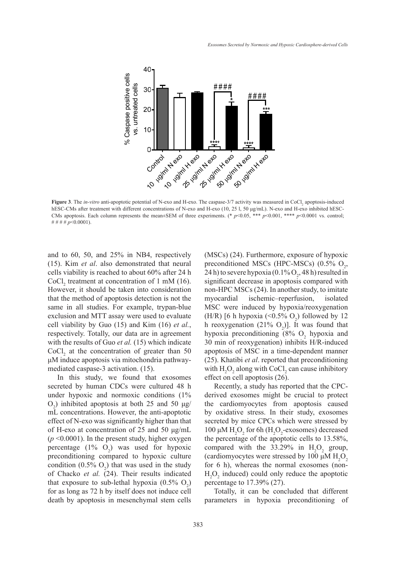

**Figure 3**. The *in-vitro* anti-apoptotic potential of N-exo and H-exo. The caspase-3/7 activity was measured in CoCl<sub>2</sub> apoptosis-induced hESC-CMs after treatment with different concentrations of N-exo and H-exo (10, 25 l, 50 μg/mL). N-exo and H-exo inhibited hESC-CMs apoptosis. Each column represents the mean±SEM of three experiments. (\*  $p$ <0.05, \*\*\*  $p$  <0.001, \*\*\*  $p$  <0.0001 vs. control; # # # # *p*<0.0001).

and to 60, 50, and 25% in NB4, respectively (15). Kim *et al*. also demonstrated that neural cells viability is reached to about 60% after 24 h CoCl<sub>2</sub> treatment at concentration of 1 mM (16). significan However, it should be taken into consideration that the method of apoptosis detection is not the same in all studies. For example, trypan-blue exclusion and MTT assay were used to evaluate cell viability by Guo (15) and Kim (16) *et al.*, respectively. Totally, our data are in agreement with the results of Guo *et al.* (15) which indicate  $CoCl<sub>2</sub>$  at the concentration of greater than 50 μM induce apoptosis via mitochondria pathwaymediated caspase-3 activation. (15).

secreted by human CDCs were cultured 48 h under hypoxic and normoxic conditions (1%  $O_2$ ) inhibited apoptosis at both 25 and 50 μg/ mL concentrations. However, the anti-apoptotic effect of N-exo was significantly higher than that of H-exo at concentration of 25 and 50 μg/mL (*p* <0.0001). In the present study, higher oxygen percentage  $(1\% \text{ O}_2)$  was used for hypoxic preconditioning compared to hypoxic culture condition  $(0.5\% \text{ O}_2)$  that was used in the study of Chacko *et al.* (24). Their results indicated that exposure to sub-lethal hypoxia  $(0.5\% \text{ O}_2)$ for as long as 72 h by itself does not induce cell death by apoptosis in mesenchymal stem cells

In this study, we found that exosomes effect on cell apoptosis  $(26)$ . d 25% in NB4, respectively (MSCs) (24). Furthermore, exposure of hypoxic lso demonstrated that neural preconditioned MSCs (HPC-MSCs)  $(0.5\% \space O_2,$ 24 h) to severe hypoxia (0.1%  $O_2$ , 48 h) resulted in significant decrease in apoptosis compared with non-HPC MSCs (24). In another study, to imitate myocardial ischemic–reperfusion, isolated MSC were induced by hypoxia/reoxygenation (H/R) [6 h hypoxia  $($  <0.5%  $O_2$ ) followed by 12 h reoxygenation  $(21\% \text{ O}_2)$ . It was found that hypoxia preconditioning  $(8\% \text{ O}_2)$  hypoxia and 30 min of reoxygenation) inhibits H/R-induced apoptosis of MSC in a time-dependent manner sis via mitochondria pathway- (25). Khatibi *et al*. reported that preconditioning with  $H_2O_2$  along with CoCl<sub>2</sub> can cause inhibitory effect on cell apoptosis (26).

> Recently, a study has reported that the CPC-therapeutic regeneration. They are sufficient to mediate the entire effect of CDCs (3, 5). Few derived exosomes might be crucial to protect the cardiomyocytes from apoptosis caused by oxidative stress. In their study, exosomes secreted by mice CPCs which were stressed by 100 μM  $H_2O_2$  for 6h ( $H_2O_2$ -exosomes) decreased the percentage of the apoptotic cells to 13.58%, compared with the  $33.29\%$  in H<sub>2</sub>O<sub>2</sub> group, (cardiomyocytes were stressed by 100  $\mu$ M H<sub>2</sub>O<sub>2</sub> for 6 h), whereas the normal exosomes (non- $H_2O_2$  induced) could only reduce the apoptotic percentage to 17.39% (27).

> > Totally, it can be concluded that different parameters in hypoxia preconditioning of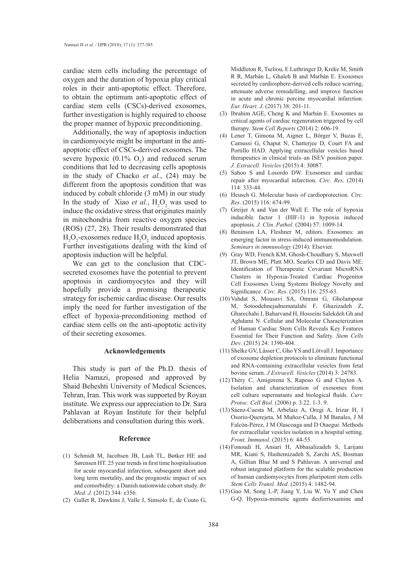cardiac stem cells including the percentage of oxygen and the duration of hypoxia play critical roles in their anti-apoptotic effect. Therefore, to obtain the optimum anti-apoptotic effect of cardiac stem cells (CSCs)-derived exosomes, further investigation is highly required to choose the proper manner of hypoxic preconditioning.

Additionally, the way of apoptosis induction in cardiomyocyte might be important in the antiapoptotic effect of CSCs-derived exosomes. The severe hypoxic  $(0.1\% \text{ O}_2)$  and reduced serum conditions that led to decreasing cells apoptosis in the study of Chacko *et al.*, (24) may be different from the apoptosis condition that was induced by cobalt chloride (3 mM) in our study. In the study of Xiao *et al.*,  $H_2O_2$  was used to induce the oxidative stress that originates mainly in mitochondria from reactive oxygen species (ROS) (27, 28). Their results demonstrated that  $H_2O_2$ -exosomes reduce  $H_2O_2$  induced apoptosis. Further investigations dealing with the kind of apoptosis induction will be helpful.

We can get to the conclusion that CDCsecreted exosomes have the potential to prevent apoptosis in cardiomyocytes and they will hopefully provide a promising therapeutic strategy for ischemic cardiac disease. Our results imply the need for further investigation of the effect of hypoxia-preconditioning method of cardiac stem cells on the anti-apoptotic activity of their secreting exosomes.

# **Acknowledgements**

This study is part of the Ph.D. thesis of Helia Namazi, proposed and approved by Shaid Beheshti University of Medical Sciences, Tehran, Iran. This work was supported by Royan institute. We express our appreciation to Dr. Sara Pahlavan at Royan Institute for their helpful deliberations and consultation during this work.

#### **Reference**

- (1) Schmidt M, Jacobsen JB, Lash TL, Bøtker HE and Sørensen HT. 25 year trends in first time hospitalisation for acute myocardial infarction, subsequent short and long term mortality, and the prognostic impact of sex and comorbidity: a Danish nationwide cohort study. *Br. Med. J.* (2012) 344: e356.
- (2) Gallet R, Dawkins J, Valle J, Simsolo E, de Couto G,

Middleton R, Tseliou, E Luthringer D, Kreke M, Smith R R, Marbán L, Ghaleh B and Marbán E. Exosomes secreted by cardiosphere-derived cells reduce scarring, attenuate adverse remodelling, and improve function in acute and chronic porcine myocardial infarction. *Eur. Heart. J*. (2017) 38: 201-11.

- $(3)$  Ibrahim AGE, Cheng K and Marbán E. Exosomes as critical agents of cardiac regeneration triggered by cell therapy. *Stem Cell Reports* (2014) 2: 606-19.
- Lener T, Gimona M, Aigner L, Börger V, Buzas E, (4) Camussi G, Chaput N, Chatterjee D, Court FA and Portillo HAD. Applying extracellular vesicles based therapeutics in clinical trials–an ISEV position paper. *J. Extracell. Vesicles* (2015) 4: 30087.
- (5) Sahoo S and Losordo DW. Exosomes and cardiac repair after myocardial infarction. *Circ. Res*. (2014) 114: 333-44.
- (6) Heusch G. Molecular basis of cardioprotection. *Circ*. *Res*. (2015) 116: 674-99.
- (7) Greijer A and Van der Wall E. The role of hypoxia inducible factor 1 (HIF-1) in hypoxia induced apoptosis. *J. Clin. Pathol*. (2004) 57: 1009-14.
- Beninson LA, Fleshner M, editors. Exosomes: an (8) emerging factor in stress-induced immunomodulation. *Seminars in immunology* (2014): Elsevier.
- Gray WD, French KM, Ghosh-Choudhary S, Maxwell (9) JT, Brown ME, Platt MO, Searles CD and Davis ME. Identification of Therapeutic Covariant MicroRNA Clusters in Hypoxia-Treated Cardiac Progenitor Cell Exosomes Using Systems Biology Novelty and Significance. *Circ. Res*. (2015) 116: 255-63.
- (10) Vahdat S, Mousavi SA, Omrani G, Gholampour M, Sotoodehnejadnematalahi F, Ghazizadeh Z, Gharechahi J, Baharvand H, Hosseini Salekdeh Gh and Aghdami N. Cellular and Molecular Characterization of Human Cardiac Stem Cells Reveals Key Features Essential for Their Function and Safety. *Stem Cells Dev*. (2015) 24: 1390-404.
- (11) Shelke GV, Lässer C, Gho YS and Lötvall J. Importance of exosome depletion protocols to eliminate functional and RNA-containing extracellular vesicles from fetal bovine serum. *J Extracell. Vesicles* (2014) 3: 24783.
- $(12)$  Théry C, Amigorena S, Raposo G and Clayton A. Isolation and characterization of exosomes from cell culture supernatants and biological fluids. *Curr. Protoc. Cell Biol.* (2006) p. 3.22. 1-3. 9.
- (13) Sáenz-Cuesta M, Arbelaiz A, Oregi A, Irizar H, I Osorio-Querejeta, M Muñoz-Culla, J M Banales, J M Falcón-Pérez, J M Olascoaga and D Otaegui. Methods for extracellular vesicles isolation in a hospital setting. *Front. Immunol*. (2015) 6: 44-55.
- Fonoudi H, Ansari H, Abbasalizadeh S, Larijani (14) MR, Kiani S, Hashemizadeh S, Zarchi AS, Bosman A, Gillian Blue M and S Pahlavan. A universal and robust integrated platform for the scalable production of human cardiomyocytes from pluripotent stem cells. *Stem Cells Transl. Med*. (2015) 4: 1482-94.
- $(15)$  Guo M, Song L-P, Jiang Y, Liu W, Yu Y and Chen G-Q. Hypoxia-mimetic agents desferrioxamine and